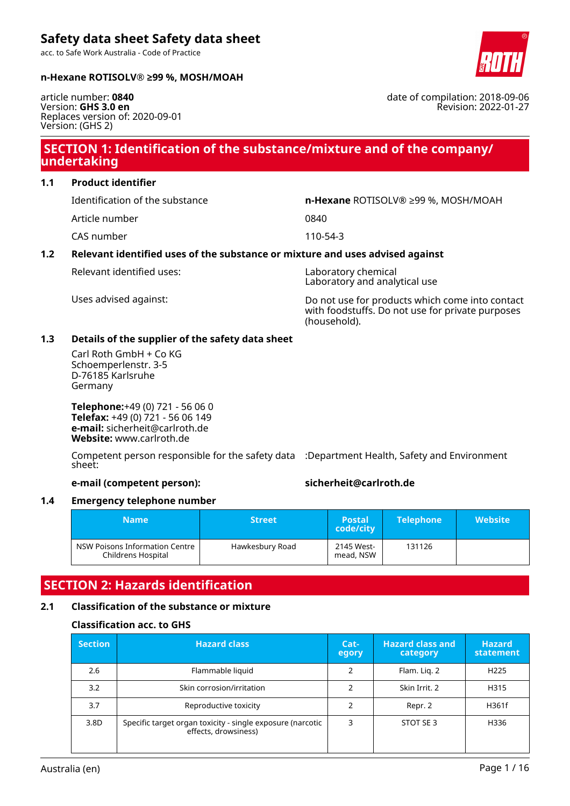acc. to Safe Work Australia - Code of Practice



#### **n-Hexane ROTISOLV® ≥99 %, MOSH/MOAH**

article number: **0840** Version: **GHS 3.0 en** Replaces version of: 2020-09-01 Version: (GHS 2)

### **SECTION 1: Identification of the substance/mixture and of the company/ undertaking**

### **1.1 Product identifier**

Article number 0840

CAS number 110-54-3

#### Identification of the substance **n-Hexane** ROTISOLV® ≥99 %, MOSH/MOAH

#### **1.2 Relevant identified uses of the substance or mixture and uses advised against**

Relevant identified uses: Laboratory chemical

Laboratory and analytical use

Uses advised against: Do not use for products which come into contact with foodstuffs. Do not use for private purposes (household).

#### **1.3 Details of the supplier of the safety data sheet**

Carl Roth GmbH + Co KG Schoemperlenstr. 3-5 D-76185 Karlsruhe Germany

**Telephone:**+49 (0) 721 - 56 06 0 **Telefax:** +49 (0) 721 - 56 06 149 **e-mail:** sicherheit@carlroth.de **Website:** www.carlroth.de

Competent person responsible for the safety data :Department Health, Safety and Environment sheet:

**e-mail (competent person): sicherheit@carlroth.de**

### **1.4 Emergency telephone number**

| <b>Name</b>                                          | <b>Street</b>   |                         | <b>Telephone</b> | <b>Website</b> |
|------------------------------------------------------|-----------------|-------------------------|------------------|----------------|
| NSW Poisons Information Centre<br>Childrens Hospital | Hawkesbury Road | 2145 West-<br>mead, NSW | 131126           |                |

## **SECTION 2: Hazards identification**

#### **2.1 Classification of the substance or mixture**

#### **Classification acc. to GHS**

| <b>Section</b> | <b>Hazard class</b>                                                                | Cat-<br>egory | <b>Hazard class and</b><br>category | <b>Hazard</b><br>statement |
|----------------|------------------------------------------------------------------------------------|---------------|-------------------------------------|----------------------------|
| 2.6            | Flammable liquid                                                                   | 2             | Flam. Lig. 2                        | H <sub>225</sub>           |
| 3.2            | Skin corrosion/irritation                                                          |               | Skin Irrit. 2                       | H315                       |
| 3.7            | Reproductive toxicity                                                              | 2             | Repr. 2                             | H361f                      |
| 3.8D           | Specific target organ toxicity - single exposure (narcotic<br>effects, drowsiness) | 3             | STOT SE3                            | H336                       |

date of compilation: 2018-09-06 Revision: 2022-01-27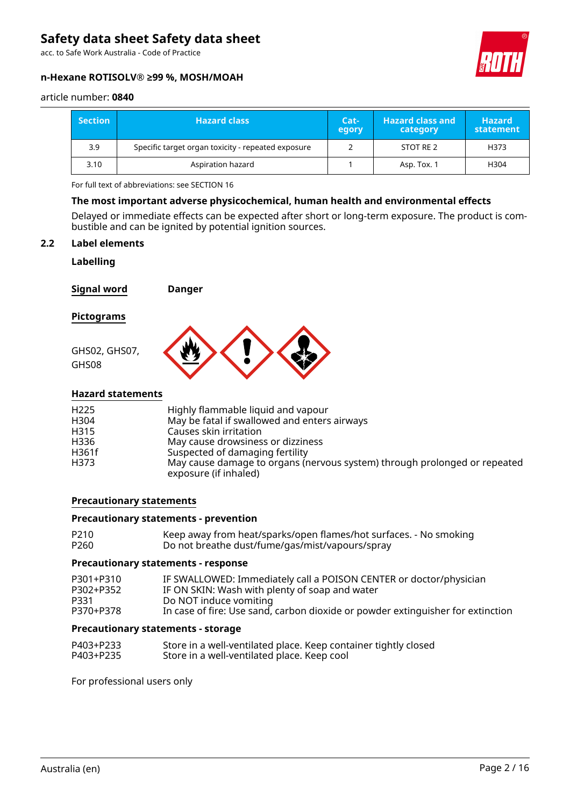acc. to Safe Work Australia - Code of Practice

#### **n-Hexane ROTISOLV® ≥99 %, MOSH/MOAH**



#### article number: **0840**

| <b>Section</b> | <b>Hazard class</b>                                | Cat-<br>egory | <b>Hazard class and</b><br>category | <b>Hazard</b><br>statement |
|----------------|----------------------------------------------------|---------------|-------------------------------------|----------------------------|
| 3.9            | Specific target organ toxicity - repeated exposure |               | STOT RE 2                           | H373                       |
| 3.10           | Aspiration hazard                                  |               | Asp. Tox. 1                         | H304                       |

For full text of abbreviations: see SECTION 16

#### **The most important adverse physicochemical, human health and environmental effects**

Delayed or immediate effects can be expected after short or long-term exposure. The product is combustible and can be ignited by potential ignition sources.

#### **2.2 Label elements**

#### **Labelling**

**Signal word Danger**

#### **Pictograms**



#### **Hazard statements**

| H <sub>225</sub> | Highly flammable liquid and vapour                                                                 |
|------------------|----------------------------------------------------------------------------------------------------|
| H304             | May be fatal if swallowed and enters airways                                                       |
| H315             | Causes skin irritation                                                                             |
| H336             | May cause drowsiness or dizziness                                                                  |
| H361f            | Suspected of damaging fertility                                                                    |
| H373             | May cause damage to organs (nervous system) through prolonged or repeated<br>exposure (if inhaled) |

#### **Precautionary statements**

#### **Precautionary statements - prevention**

| P210 | Keep away from heat/sparks/open flames/hot surfaces. - No smoking |
|------|-------------------------------------------------------------------|
| P260 | Do not breathe dust/fume/gas/mist/vapours/spray                   |

#### **Precautionary statements - response**

| P301+P310 | IF SWALLOWED: Immediately call a POISON CENTER or doctor/physician              |
|-----------|---------------------------------------------------------------------------------|
| P302+P352 | IF ON SKIN: Wash with plenty of soap and water                                  |
| P331      | Do NOT induce vomiting                                                          |
| P370+P378 | In case of fire: Use sand, carbon dioxide or powder extinguisher for extinction |

#### **Precautionary statements - storage**

| P403+P233 | Store in a well-ventilated place. Keep container tightly closed |
|-----------|-----------------------------------------------------------------|
| P403+P235 | Store in a well-ventilated place. Keep cool                     |

For professional users only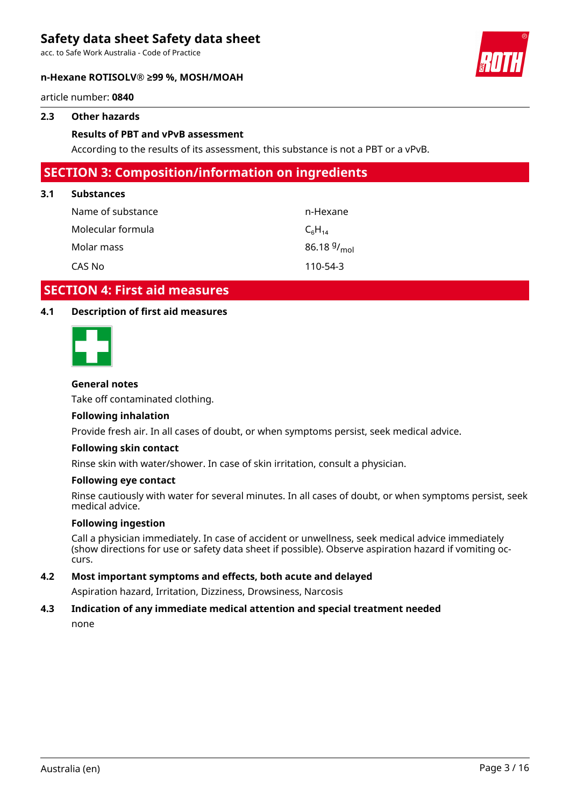acc. to Safe Work Australia - Code of Practice

#### **n-Hexane ROTISOLV® ≥99 %, MOSH/MOAH**

#### article number: **0840**

#### **2.3 Other hazards**

#### **Results of PBT and vPvB assessment**

According to the results of its assessment, this substance is not a PBT or a vPvB.

### **SECTION 3: Composition/information on ingredients**

#### **3.1 Substances**

| Name of substance | n-Hexane                |
|-------------------|-------------------------|
| Molecular formula | $C_6H_{14}$             |
| Molar mass        | 86.18 $9/_{\text{mol}}$ |
| CAS No            | 110-54-3                |

### **SECTION 4: First aid measures**

#### **4.1 Description of first aid measures**



#### **General notes**

Take off contaminated clothing.

#### **Following inhalation**

Provide fresh air. In all cases of doubt, or when symptoms persist, seek medical advice.

#### **Following skin contact**

Rinse skin with water/shower. In case of skin irritation, consult a physician.

#### **Following eye contact**

Rinse cautiously with water for several minutes. In all cases of doubt, or when symptoms persist, seek medical advice.

#### **Following ingestion**

Call a physician immediately. In case of accident or unwellness, seek medical advice immediately (show directions for use or safety data sheet if possible). Observe aspiration hazard if vomiting occurs.

#### **4.2 Most important symptoms and effects, both acute and delayed**

Aspiration hazard, Irritation, Dizziness, Drowsiness, Narcosis

### **4.3 Indication of any immediate medical attention and special treatment needed**

none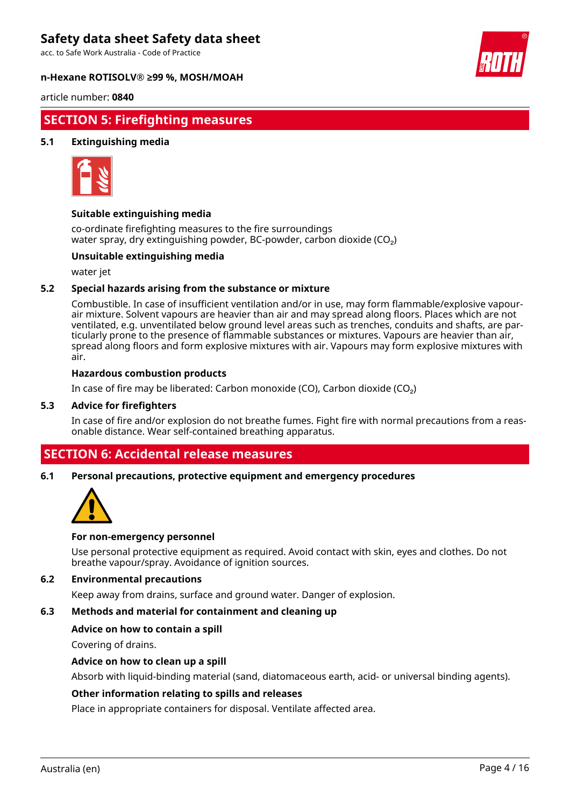acc. to Safe Work Australia - Code of Practice

#### **n-Hexane ROTISOLV® ≥99 %, MOSH/MOAH**



article number: **0840**

### **SECTION 5: Firefighting measures**

#### **5.1 Extinguishing media**



#### **Suitable extinguishing media**

co-ordinate firefighting measures to the fire surroundings water spray, dry extinguishing powder, BC-powder, carbon dioxide (CO<sub>2</sub>)

#### **Unsuitable extinguishing media**

water jet

#### **5.2 Special hazards arising from the substance or mixture**

Combustible. In case of insufficient ventilation and/or in use, may form flammable/explosive vapourair mixture. Solvent vapours are heavier than air and may spread along floors. Places which are not ventilated, e.g. unventilated below ground level areas such as trenches, conduits and shafts, are particularly prone to the presence of flammable substances or mixtures. Vapours are heavier than air, spread along floors and form explosive mixtures with air. Vapours may form explosive mixtures with air.

#### **Hazardous combustion products**

In case of fire may be liberated: Carbon monoxide (CO), Carbon dioxide (CO₂)

#### **5.3 Advice for firefighters**

In case of fire and/or explosion do not breathe fumes. Fight fire with normal precautions from a reasonable distance. Wear self-contained breathing apparatus.

### **SECTION 6: Accidental release measures**

**6.1 Personal precautions, protective equipment and emergency procedures**



#### **For non-emergency personnel**

Use personal protective equipment as required. Avoid contact with skin, eyes and clothes. Do not breathe vapour/spray. Avoidance of ignition sources.

#### **6.2 Environmental precautions**

Keep away from drains, surface and ground water. Danger of explosion.

#### **6.3 Methods and material for containment and cleaning up**

#### **Advice on how to contain a spill**

Covering of drains.

#### **Advice on how to clean up a spill**

Absorb with liquid-binding material (sand, diatomaceous earth, acid- or universal binding agents).

#### **Other information relating to spills and releases**

Place in appropriate containers for disposal. Ventilate affected area.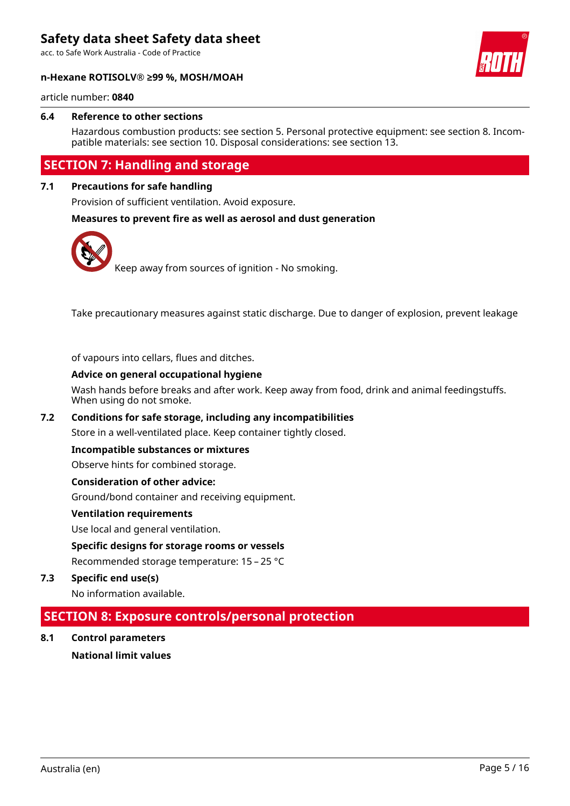acc. to Safe Work Australia - Code of Practice



#### **n-Hexane ROTISOLV® ≥99 %, MOSH/MOAH**

article number: **0840**

#### **6.4 Reference to other sections**

Hazardous combustion products: see section 5. Personal protective equipment: see section 8. Incompatible materials: see section 10. Disposal considerations: see section 13.

### **SECTION 7: Handling and storage**

#### **7.1 Precautions for safe handling**

Provision of sufficient ventilation. Avoid exposure.

#### **Measures to prevent fire as well as aerosol and dust generation**



Take precautionary measures against static discharge. Due to danger of explosion, prevent leakage

of vapours into cellars, flues and ditches.

#### **Advice on general occupational hygiene**

Wash hands before breaks and after work. Keep away from food, drink and animal feedingstuffs. When using do not smoke.

#### **7.2 Conditions for safe storage, including any incompatibilities**

Store in a well-ventilated place. Keep container tightly closed.

#### **Incompatible substances or mixtures**

Observe hints for combined storage.

#### **Consideration of other advice:**

Ground/bond container and receiving equipment.

#### **Ventilation requirements**

Use local and general ventilation.

#### **Specific designs for storage rooms or vessels**

Recommended storage temperature: 15 – 25 °C

**7.3 Specific end use(s)**

No information available.

### **SECTION 8: Exposure controls/personal protection**

**8.1 Control parameters National limit values**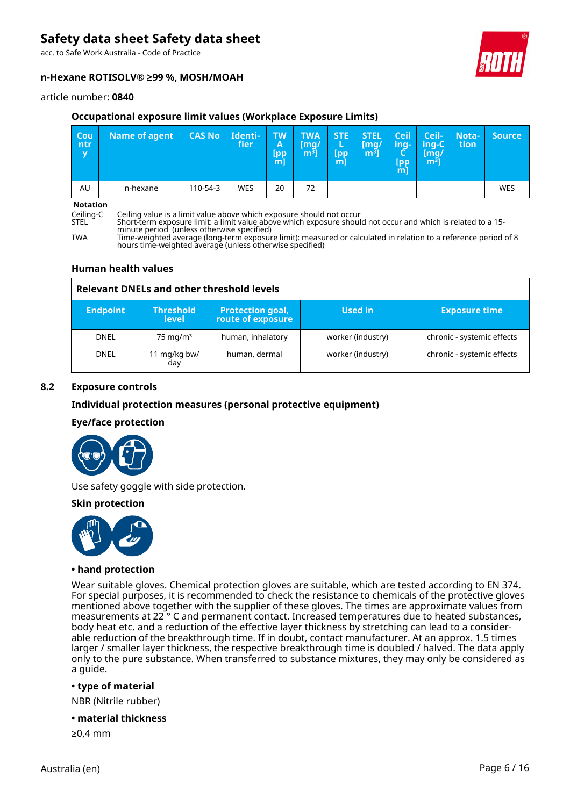acc. to Safe Work Australia - Code of Practice

#### **n-Hexane ROTISOLV® ≥99 %, MOSH/MOAH**



#### article number: **0840**

#### **Occupational exposure limit values (Workplace Exposure Limits)**

| Cou<br>ntr<br>y                                                                                                                                           | <b>Name of agent</b> | <b>CAS No</b> | Identi-<br><i>fier</i> | <b>TW</b><br>A<br><b>Ipp</b><br>[m] | <b>TWA</b><br>$\lceil \mathsf{mq} \rceil$<br>m <sup>3</sup> | STE:<br>L<br>[pp<br>m] | <b>STEL</b><br>[mg/<br>m <sup>3</sup> | <b>Ceil</b><br>ing-<br>Lpp/<br>$m$ ] | Ceil-<br>ing-C<br>$\lceil \mathsf{mq} \rceil$<br>m <sup>3</sup> | Nota-<br>tion | <b>Source</b> |
|-----------------------------------------------------------------------------------------------------------------------------------------------------------|----------------------|---------------|------------------------|-------------------------------------|-------------------------------------------------------------|------------------------|---------------------------------------|--------------------------------------|-----------------------------------------------------------------|---------------|---------------|
| AU                                                                                                                                                        | n-hexane             | 110-54-3      | <b>WES</b>             | 20                                  | 72                                                          |                        |                                       |                                      |                                                                 |               | WES           |
| <b>Notation</b><br>$\sim$ $\sim$ $\sim$<br>i Ædifficient solidade de la Hispatricia fiche de la constituta forma e de seu de la citat solidade de la cost |                      |               |                        |                                     |                                                             |                        |                                       |                                      |                                                                 |               |               |

Ceiling-C Ceiling value is a limit value above which exposure should not occur

Short-term exposure limit: a limit value above which exposure should not occur and which is related to a 15minute period (unless otherwise specified)

TWA Time-weighted average (long-term exposure limit): measured or calculated in relation to a reference period of 8 hours time-weighted average (unless otherwise specified)

#### **Human health values**

#### **Relevant DNELs and other threshold levels**

| <b>Endpoint</b> | <b>Threshold</b><br>level | <b>Protection goal,</b><br>route of exposure | Used in           | <b>Exposure time</b>       |
|-----------------|---------------------------|----------------------------------------------|-------------------|----------------------------|
| DNEL            | $75 \text{ mg/m}^3$       | human, inhalatory                            | worker (industry) | chronic - systemic effects |
| <b>DNEL</b>     | 11 mg/kg bw/<br>day       | human, dermal                                | worker (industry) | chronic - systemic effects |

#### **8.2 Exposure controls**

#### **Individual protection measures (personal protective equipment)**

#### **Eye/face protection**



Use safety goggle with side protection.

#### **Skin protection**



#### **• hand protection**

Wear suitable gloves. Chemical protection gloves are suitable, which are tested according to EN 374. For special purposes, it is recommended to check the resistance to chemicals of the protective gloves mentioned above together with the supplier of these gloves. The times are approximate values from measurements at 22 ° C and permanent contact. Increased temperatures due to heated substances, body heat etc. and a reduction of the effective layer thickness by stretching can lead to a considerable reduction of the breakthrough time. If in doubt, contact manufacturer. At an approx. 1.5 times larger / smaller layer thickness, the respective breakthrough time is doubled / halved. The data apply only to the pure substance. When transferred to substance mixtures, they may only be considered as a guide.

#### **• type of material**

NBR (Nitrile rubber)

**• material thickness**

≥0,4 mm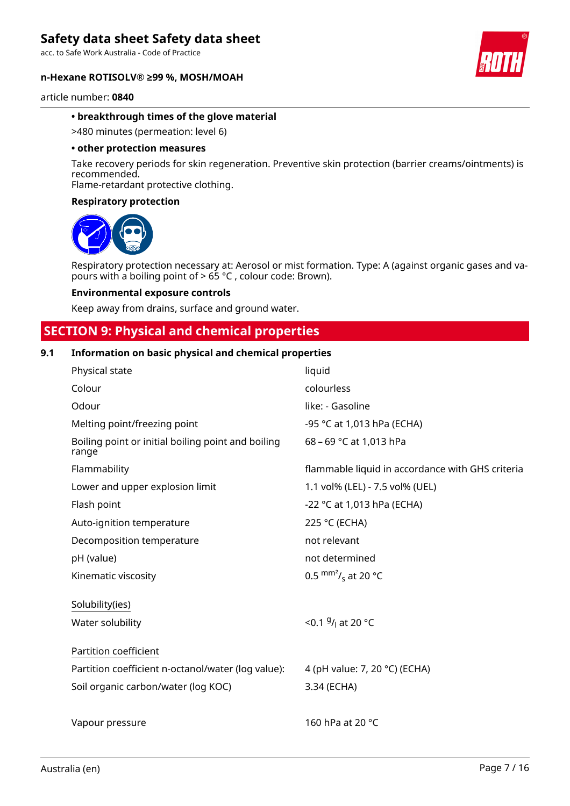acc. to Safe Work Australia - Code of Practice

#### **n-Hexane ROTISOLV® ≥99 %, MOSH/MOAH**



article number: **0840**

#### **• breakthrough times of the glove material**

>480 minutes (permeation: level 6)

#### **• other protection measures**

Take recovery periods for skin regeneration. Preventive skin protection (barrier creams/ointments) is recommended.

Flame-retardant protective clothing.

#### **Respiratory protection**



Respiratory protection necessary at: Aerosol or mist formation. Type: A (against organic gases and vapours with a boiling point of > 65 °C , colour code: Brown).

#### **Environmental exposure controls**

Keep away from drains, surface and ground water.

### **SECTION 9: Physical and chemical properties**

#### **9.1 Information on basic physical and chemical properties**

| Physical state                                              | liquid                                           |
|-------------------------------------------------------------|--------------------------------------------------|
| Colour                                                      | colourless                                       |
| Odour                                                       | like: - Gasoline                                 |
| Melting point/freezing point                                | -95 °C at 1,013 hPa (ECHA)                       |
| Boiling point or initial boiling point and boiling<br>range | 68 - 69 °C at 1,013 hPa                          |
| Flammability                                                | flammable liquid in accordance with GHS criteria |
| Lower and upper explosion limit                             | 1.1 vol% (LEL) - 7.5 vol% (UEL)                  |
| Flash point                                                 | -22 °C at 1,013 hPa (ECHA)                       |
| Auto-ignition temperature                                   | 225 °C (ECHA)                                    |
| Decomposition temperature                                   | not relevant                                     |
| pH (value)                                                  | not determined                                   |
| Kinematic viscosity                                         | 0.5 $\text{mm}^2$ / <sub>s</sub> at 20 °C        |
| Solubility(ies)                                             |                                                  |
| Water solubility                                            | <0.1 $9/1$ at 20 °C                              |
| Partition coefficient                                       |                                                  |
| Partition coefficient n-octanol/water (log value):          | 4 (pH value: 7, 20 °C) (ECHA)                    |
| Soil organic carbon/water (log KOC)                         | 3.34 (ECHA)                                      |
|                                                             |                                                  |
| Vapour pressure                                             | 160 hPa at 20 °C                                 |
|                                                             |                                                  |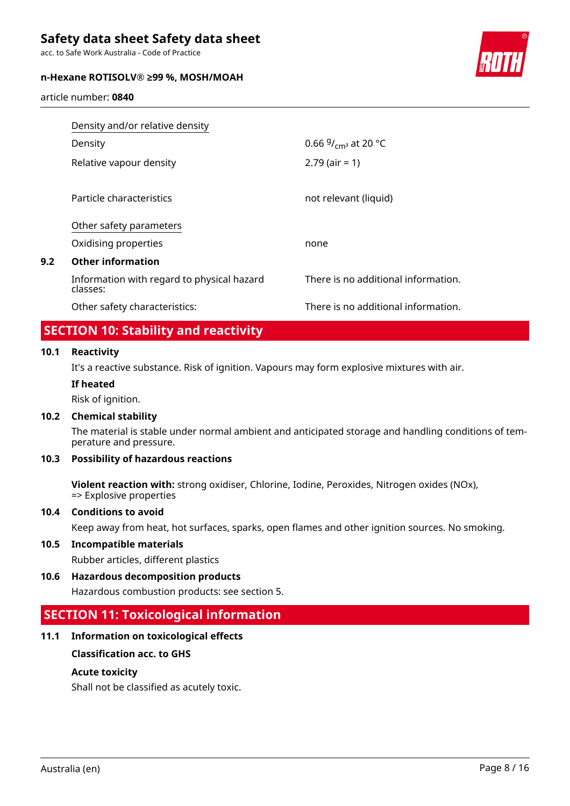acc. to Safe Work Australia - Code of Practice

#### **n-Hexane ROTISOLV® ≥99 %, MOSH/MOAH**



article number: **0840**

|     | Density and/or relative density                        |                                     |  |  |  |
|-----|--------------------------------------------------------|-------------------------------------|--|--|--|
|     | Density                                                | 0.66 $9/_{cm^3}$ at 20 °C           |  |  |  |
|     | Relative vapour density                                | $2.79$ (air = 1)                    |  |  |  |
|     | Particle characteristics                               | not relevant (liquid)               |  |  |  |
|     | Other safety parameters                                |                                     |  |  |  |
|     | Oxidising properties                                   | none                                |  |  |  |
| 9.2 | <b>Other information</b>                               |                                     |  |  |  |
|     | Information with regard to physical hazard<br>classes: | There is no additional information. |  |  |  |
|     | Other safety characteristics:                          | There is no additional information. |  |  |  |

### **SECTION 10: Stability and reactivity**

#### **10.1 Reactivity**

It's a reactive substance. Risk of ignition. Vapours may form explosive mixtures with air.

#### **If heated**

Risk of ignition.

#### **10.2 Chemical stability**

The material is stable under normal ambient and anticipated storage and handling conditions of temperature and pressure.

### **10.3 Possibility of hazardous reactions**

**Violent reaction with:** strong oxidiser, Chlorine, Iodine, Peroxides, Nitrogen oxides (NOx), => Explosive properties

#### **10.4 Conditions to avoid**

Keep away from heat, hot surfaces, sparks, open flames and other ignition sources. No smoking.

#### **10.5 Incompatible materials**

Rubber articles, different plastics

**10.6 Hazardous decomposition products**

Hazardous combustion products: see section 5.

### **SECTION 11: Toxicological information**

#### **11.1 Information on toxicological effects**

#### **Classification acc. to GHS**

#### **Acute toxicity**

Shall not be classified as acutely toxic.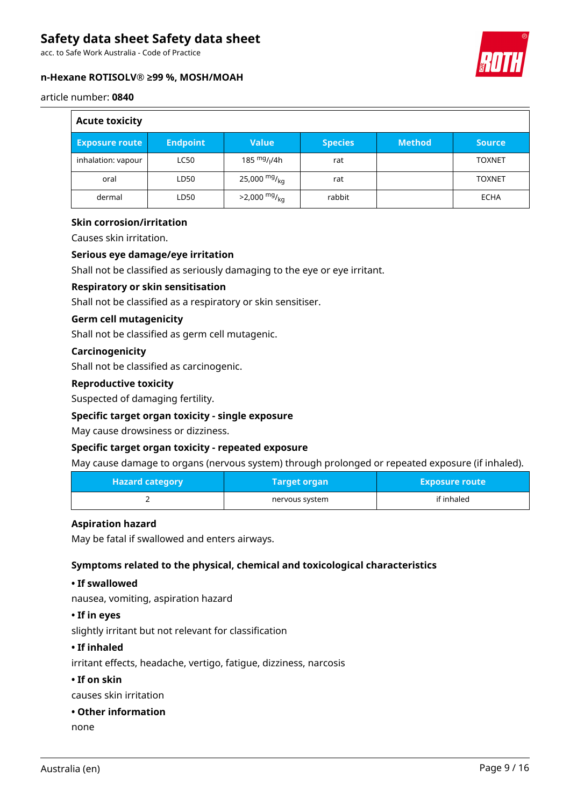acc. to Safe Work Australia - Code of Practice

#### **n-Hexane ROTISOLV® ≥99 %, MOSH/MOAH**



#### article number: **0840**

| <b>Acute toxicity</b> |                 |                            |                |               |               |
|-----------------------|-----------------|----------------------------|----------------|---------------|---------------|
| <b>Exposure route</b> | <b>Endpoint</b> | <b>Value</b>               | <b>Species</b> | <b>Method</b> | <b>Source</b> |
| inhalation: vapour    | <b>LC50</b>     | 185 $mg/1/4h$              | rat            |               | <b>TOXNET</b> |
| oral                  | LD50            | 25,000 mg/ <sub>kg</sub>   | rat            |               | <b>TOXNET</b> |
| dermal                | LD50            | $>2,000$ mg/ <sub>kg</sub> | rabbit         |               | ECHA          |

#### **Skin corrosion/irritation**

Causes skin irritation.

#### **Serious eye damage/eye irritation**

Shall not be classified as seriously damaging to the eye or eye irritant.

#### **Respiratory or skin sensitisation**

Shall not be classified as a respiratory or skin sensitiser.

#### **Germ cell mutagenicity**

Shall not be classified as germ cell mutagenic.

#### **Carcinogenicity**

Shall not be classified as carcinogenic.

#### **Reproductive toxicity**

Suspected of damaging fertility.

#### **Specific target organ toxicity - single exposure**

May cause drowsiness or dizziness.

#### **Specific target organ toxicity - repeated exposure**

May cause damage to organs (nervous system) through prolonged or repeated exposure (if inhaled).

| <b>Hazard category</b> | <b>Target organ</b> | <b>Exposure route</b> |
|------------------------|---------------------|-----------------------|
|                        | nervous system      | if inhaled            |

#### **Aspiration hazard**

May be fatal if swallowed and enters airways.

### **Symptoms related to the physical, chemical and toxicological characteristics**

#### **• If swallowed**

nausea, vomiting, aspiration hazard

#### **• If in eyes**

slightly irritant but not relevant for classification

#### **• If inhaled**

irritant effects, headache, vertigo, fatigue, dizziness, narcosis

#### **• If on skin**

causes skin irritation

#### **• Other information**

none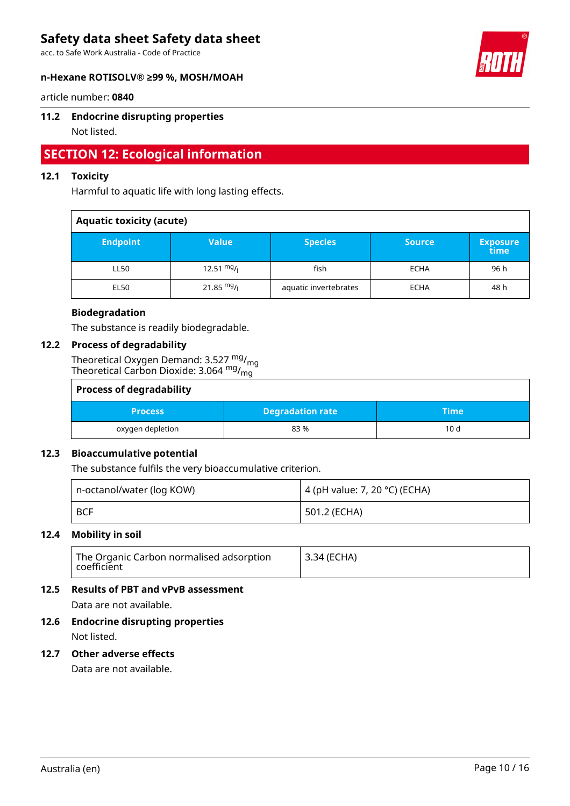acc. to Safe Work Australia - Code of Practice

#### **n-Hexane ROTISOLV® ≥99 %, MOSH/MOAH**



article number: **0840**

#### **11.2 Endocrine disrupting properties**

Not listed.

# **SECTION 12: Ecological information**

#### **12.1 Toxicity**

Harmful to aquatic life with long lasting effects.

| <b>Aquatic toxicity (acute)</b> |              |                       |               |                         |
|---------------------------------|--------------|-----------------------|---------------|-------------------------|
| <b>Endpoint</b>                 | <b>Value</b> | <b>Species</b>        | <b>Source</b> | <b>Exposure</b><br>time |
| LL50                            | 12.51 $mg/$  | fish                  | <b>ECHA</b>   | 96 h                    |
| <b>EL50</b>                     | 21.85 $mg/1$ | aquatic invertebrates | <b>ECHA</b>   | 48 h                    |

#### **Biodegradation**

The substance is readily biodegradable.

#### **12.2 Process of degradability**

Theoretical Oxygen Demand: 3.527  $^{\mathsf{mg}}\prime_{\mathsf{mg}}$ Theoretical Carbon Dioxide: 3.064  $^{\mathsf{mg}}\prime_{\mathsf{mg}}$ 

| <b>Process of degradability</b> |                         |      |  |  |
|---------------------------------|-------------------------|------|--|--|
| <b>Process</b>                  | <b>Degradation rate</b> | Time |  |  |
| oxygen depletion                | 83%                     | 10d  |  |  |

#### **12.3 Bioaccumulative potential**

The substance fulfils the very bioaccumulative criterion.

| n-octanol/water (log KOW) |            | 4 (pH value: 7, 20 °C) (ECHA) |  |
|---------------------------|------------|-------------------------------|--|
|                           | <b>BCF</b> | ' 501.2 (ECHA)                |  |

#### **12.4 Mobility in soil**

| The Organic Carbon normalised adsorption<br>coefficient | 13.34 (ECHA) |
|---------------------------------------------------------|--------------|
|---------------------------------------------------------|--------------|

#### **12.5 Results of PBT and vPvB assessment**

Data are not available.

# **12.6 Endocrine disrupting properties**

Not listed.

#### **12.7 Other adverse effects**

Data are not available.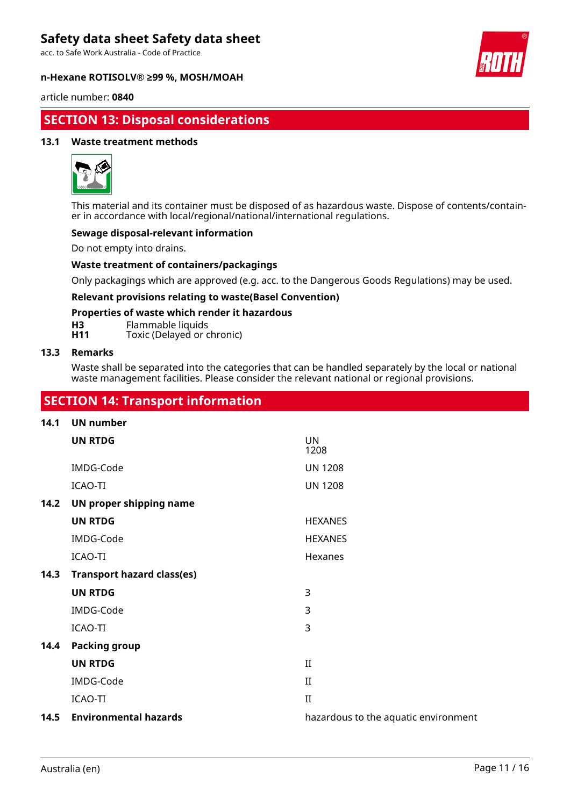acc. to Safe Work Australia - Code of Practice

#### **n-Hexane ROTISOLV® ≥99 %, MOSH/MOAH**



article number: **0840**

## **SECTION 13: Disposal considerations**

#### **13.1 Waste treatment methods**



This material and its container must be disposed of as hazardous waste. Dispose of contents/container in accordance with local/regional/national/international regulations.

### **Sewage disposal-relevant information**

Do not empty into drains.

#### **Waste treatment of containers/packagings**

Only packagings which are approved (e.g. acc. to the Dangerous Goods Regulations) may be used.

#### **Relevant provisions relating to waste(Basel Convention)**

#### **Properties of waste which render it hazardous**

**H3** Flammable liquids<br>**H11** Toxic (Delayed or c

Toxic (Delayed or chronic)

#### **13.3 Remarks**

Waste shall be separated into the categories that can be handled separately by the local or national waste management facilities. Please consider the relevant national or regional provisions.

### **SECTION 14: Transport information**

#### **14.1 UN number**

|      | <b>UN RTDG</b>                    | <b>UN</b><br>1208                    |
|------|-----------------------------------|--------------------------------------|
|      | IMDG-Code                         | <b>UN 1208</b>                       |
|      | <b>ICAO-TI</b>                    | <b>UN 1208</b>                       |
| 14.2 | UN proper shipping name           |                                      |
|      | <b>UN RTDG</b>                    | <b>HEXANES</b>                       |
|      | IMDG-Code                         | <b>HEXANES</b>                       |
|      | ICAO-TI                           | Hexanes                              |
| 14.3 | <b>Transport hazard class(es)</b> |                                      |
|      | <b>UN RTDG</b>                    | 3                                    |
|      | IMDG-Code                         | 3                                    |
|      | <b>ICAO-TI</b>                    | 3                                    |
| 14.4 | <b>Packing group</b>              |                                      |
|      | <b>UN RTDG</b>                    | $_{II}$                              |
|      | IMDG-Code                         | $_{\rm II}$                          |
|      | <b>ICAO-TI</b>                    | $\mathbf{I}$                         |
| 14.5 | <b>Environmental hazards</b>      | hazardous to the aquatic environment |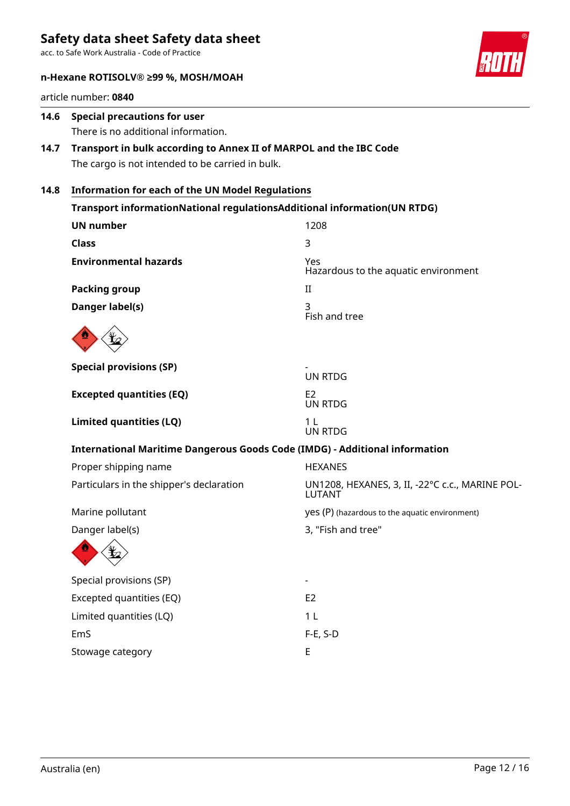acc. to Safe Work Australia - Code of Practice



#### **n-Hexane ROTISOLV® ≥99 %, MOSH/MOAH**

article number: **0840**

## **14.6 Special precautions for user** There is no additional information.

### **14.7 Transport in bulk according to Annex II of MARPOL and the IBC Code** The cargo is not intended to be carried in bulk.

### **14.8 Information for each of the UN Model Regulations**

| Transport informationNational regulationsAdditional information(UN RTDG)           |                                                           |  |  |  |
|------------------------------------------------------------------------------------|-----------------------------------------------------------|--|--|--|
| <b>UN number</b>                                                                   | 1208                                                      |  |  |  |
| <b>Class</b>                                                                       | 3                                                         |  |  |  |
| <b>Environmental hazards</b>                                                       | Yes<br>Hazardous to the aquatic environment               |  |  |  |
| <b>Packing group</b>                                                               | II                                                        |  |  |  |
| Danger label(s)                                                                    | 3<br>Fish and tree                                        |  |  |  |
|                                                                                    |                                                           |  |  |  |
| <b>Special provisions (SP)</b>                                                     | <b>UN RTDG</b>                                            |  |  |  |
| <b>Excepted quantities (EQ)</b>                                                    | E <sub>2</sub><br><b>UN RTDG</b>                          |  |  |  |
| <b>Limited quantities (LQ)</b>                                                     | 1 <sub>L</sub><br><b>UN RTDG</b>                          |  |  |  |
| <b>International Maritime Dangerous Goods Code (IMDG) - Additional information</b> |                                                           |  |  |  |
| Proper shipping name                                                               | <b>HEXANES</b>                                            |  |  |  |
| Particulars in the shipper's declaration                                           | UN1208, HEXANES, 3, II, -22°C c.c., MARINE POL-<br>LUTANT |  |  |  |
| Marine pollutant                                                                   | yes (P) (hazardous to the aquatic environment)            |  |  |  |
| Danger label(s)                                                                    | 3, "Fish and tree"                                        |  |  |  |
|                                                                                    |                                                           |  |  |  |
| Special provisions (SP)                                                            |                                                           |  |  |  |
| Excepted quantities (EQ)                                                           | E <sub>2</sub>                                            |  |  |  |
| Limited quantities (LQ)                                                            | 1 <sub>L</sub>                                            |  |  |  |
| EmS                                                                                | $F-E$ , S-D                                               |  |  |  |
| Stowage category                                                                   | E                                                         |  |  |  |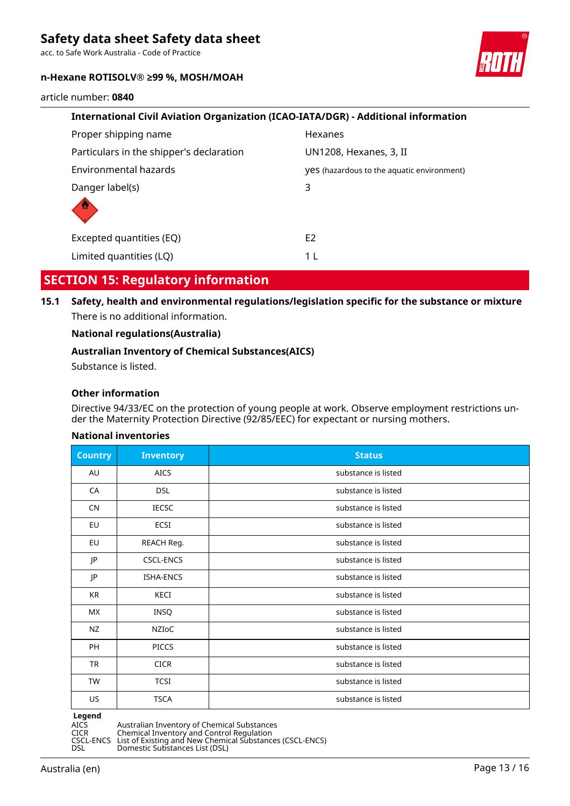acc. to Safe Work Australia - Code of Practice

#### **n-Hexane ROTISOLV® ≥99 %, MOSH/MOAH**



article number: **0840**

| International Civil Aviation Organization (ICAO-IATA/DGR) - Additional information |                                                   |  |  |  |
|------------------------------------------------------------------------------------|---------------------------------------------------|--|--|--|
| Proper shipping name                                                               | Hexanes                                           |  |  |  |
| Particulars in the shipper's declaration                                           | UN1208, Hexanes, 3, II                            |  |  |  |
| Environmental hazards                                                              | <b>yes</b> (hazardous to the aquatic environment) |  |  |  |
| Danger label(s)                                                                    | 3                                                 |  |  |  |
| Excepted quantities (EQ)                                                           | E <sub>2</sub>                                    |  |  |  |
| Limited quantities (LQ)                                                            | 1 L                                               |  |  |  |

## **SECTION 15: Regulatory information**

**15.1 Safety, health and environmental regulations/legislation specific for the substance or mixture** There is no additional information.

#### **National regulations(Australia)**

#### **Australian Inventory of Chemical Substances(AICS)**

Substance is listed.

#### **Other information**

Directive 94/33/EC on the protection of young people at work. Observe employment restrictions under the Maternity Protection Directive (92/85/EEC) for expectant or nursing mothers.

#### **National inventories**

| <b>Country</b> | <b>Inventory</b> | <b>Status</b>       |
|----------------|------------------|---------------------|
| AU             | <b>AICS</b>      | substance is listed |
| CA             | <b>DSL</b>       | substance is listed |
| <b>CN</b>      | <b>IECSC</b>     | substance is listed |
| EU             | ECSI             | substance is listed |
| EU             | REACH Reg.       | substance is listed |
| JP             | <b>CSCL-ENCS</b> | substance is listed |
| JP             | <b>ISHA-ENCS</b> | substance is listed |
| KR             | KECI             | substance is listed |
| MX.            | INSQ             | substance is listed |
| NZ             | NZIOC            | substance is listed |
| PH             | <b>PICCS</b>     | substance is listed |
| TR             | <b>CICR</b>      | substance is listed |
| TW             | <b>TCSI</b>      | substance is listed |
| US             | <b>TSCA</b>      | substance is listed |

**Legend**<br>AICS<br>CICR

AICS Australian Inventory of Chemical Substances

CICR Chemical Inventory and Control Regulation

CSCL-ENCS List of Existing and New Chemical Substances (CSCL-ENCS) DSL Domestic Substances List (DSL)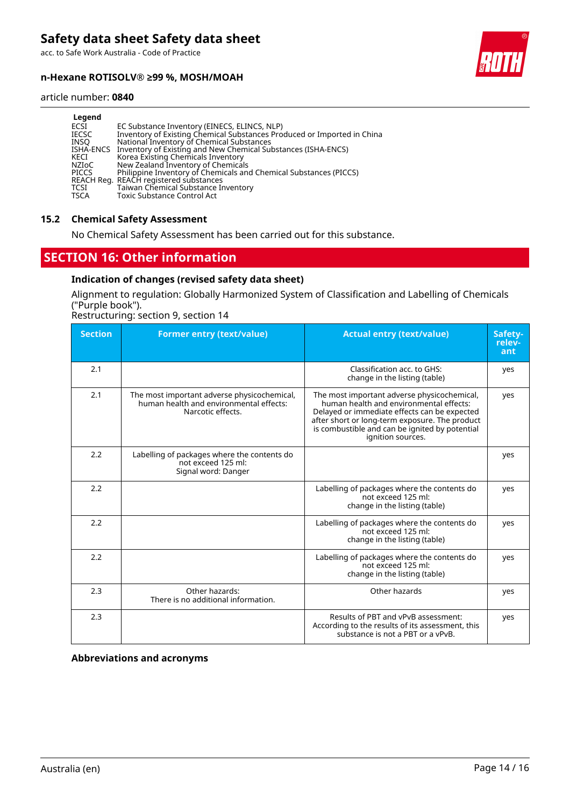acc. to Safe Work Australia - Code of Practice

#### **n-Hexane ROTISOLV® ≥99 %, MOSH/MOAH**



#### article number: **0840**

| Legend       |                                                                         |
|--------------|-------------------------------------------------------------------------|
| ECSI         | EC Substance Inventory (EINECS, ELINCS, NLP)                            |
| <b>IECSC</b> | Inventory of Existing Chemical Substances Produced or Imported in China |
| INSO         | National Inventory of Chemical Substances                               |
| ISHA-ENCS    | Inventory of Existing and New Chemical Substances (ISHA-ENCS)           |
| KECI         | Korea Existing Chemicals Inventory                                      |
| NZIoC        | New Zealand Inventory of Chemicals                                      |
| <b>PICCS</b> | Philippine Inventory of Chemicals and Chemical Substances (PICCS)       |
|              | REACH Reg. REACH registered substances                                  |
| <b>TCSI</b>  | Taiwan Chemical Substance Inventory                                     |
| <b>TSCA</b>  | <b>Toxic Substance Control Act</b>                                      |

#### **15.2 Chemical Safety Assessment**

No Chemical Safety Assessment has been carried out for this substance.

# **SECTION 16: Other information**

#### **Indication of changes (revised safety data sheet)**

Alignment to regulation: Globally Harmonized System of Classification and Labelling of Chemicals ("Purple book").

Restructuring: section 9, section 14

| <b>Section</b> | <b>Former entry (text/value)</b>                                                                            | <b>Actual entry (text/value)</b>                                                                                                                                                                                                                                | Safety-<br>relev-<br>ant |
|----------------|-------------------------------------------------------------------------------------------------------------|-----------------------------------------------------------------------------------------------------------------------------------------------------------------------------------------------------------------------------------------------------------------|--------------------------|
| 2.1            |                                                                                                             | Classification acc. to GHS:<br>change in the listing (table)                                                                                                                                                                                                    | yes                      |
| 2.1            | The most important adverse physicochemical,<br>human health and environmental effects:<br>Narcotic effects. | The most important adverse physicochemical,<br>human health and environmental effects:<br>Delayed or immediate effects can be expected<br>after short or long-term exposure. The product<br>is combustible and can be ignited by potential<br>ignition sources. | yes                      |
| 2.2            | Labelling of packages where the contents do<br>not exceed 125 ml:<br>Signal word: Danger                    |                                                                                                                                                                                                                                                                 | yes                      |
| 2.2            |                                                                                                             | Labelling of packages where the contents do<br>not exceed 125 ml:<br>change in the listing (table)                                                                                                                                                              | yes                      |
| 2.2            |                                                                                                             | Labelling of packages where the contents do<br>not exceed 125 ml:<br>change in the listing (table)                                                                                                                                                              | yes                      |
| 2.2            |                                                                                                             | Labelling of packages where the contents do<br>not exceed 125 ml:<br>change in the listing (table)                                                                                                                                                              | yes                      |
| 2.3            | Other hazards:<br>There is no additional information.                                                       | Other hazards                                                                                                                                                                                                                                                   | yes                      |
| 2.3            |                                                                                                             | Results of PBT and vPvB assessment:<br>According to the results of its assessment, this<br>substance is not a PBT or a vPvB.                                                                                                                                    | yes                      |

#### **Abbreviations and acronyms**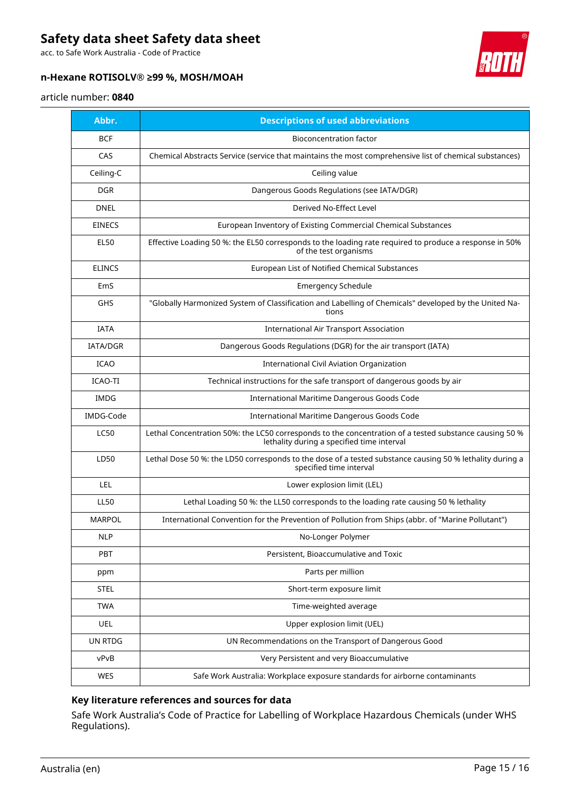acc. to Safe Work Australia - Code of Practice

### **n-Hexane ROTISOLV® ≥99 %, MOSH/MOAH**



#### article number: **0840**

| Abbr.           | <b>Descriptions of used abbreviations</b>                                                                                                            |
|-----------------|------------------------------------------------------------------------------------------------------------------------------------------------------|
| <b>BCF</b>      | <b>Bioconcentration factor</b>                                                                                                                       |
| CAS             | Chemical Abstracts Service (service that maintains the most comprehensive list of chemical substances)                                               |
| Ceiling-C       | Ceiling value                                                                                                                                        |
| <b>DGR</b>      | Dangerous Goods Regulations (see IATA/DGR)                                                                                                           |
| <b>DNEL</b>     | Derived No-Effect Level                                                                                                                              |
| <b>EINECS</b>   | European Inventory of Existing Commercial Chemical Substances                                                                                        |
| <b>EL50</b>     | Effective Loading 50 %: the EL50 corresponds to the loading rate required to produce a response in 50%<br>of the test organisms                      |
| <b>ELINCS</b>   | European List of Notified Chemical Substances                                                                                                        |
| EmS             | <b>Emergency Schedule</b>                                                                                                                            |
| GHS             | "Globally Harmonized System of Classification and Labelling of Chemicals" developed by the United Na-<br>tions                                       |
| <b>IATA</b>     | <b>International Air Transport Association</b>                                                                                                       |
| <b>IATA/DGR</b> | Dangerous Goods Regulations (DGR) for the air transport (IATA)                                                                                       |
| <b>ICAO</b>     | International Civil Aviation Organization                                                                                                            |
| ICAO-TI         | Technical instructions for the safe transport of dangerous goods by air                                                                              |
| <b>IMDG</b>     | International Maritime Dangerous Goods Code                                                                                                          |
| IMDG-Code       | International Maritime Dangerous Goods Code                                                                                                          |
| <b>LC50</b>     | Lethal Concentration 50%: the LC50 corresponds to the concentration of a tested substance causing 50 %<br>lethality during a specified time interval |
| LD50            | Lethal Dose 50 %: the LD50 corresponds to the dose of a tested substance causing 50 % lethality during a<br>specified time interval                  |
| LEL             | Lower explosion limit (LEL)                                                                                                                          |
| <b>LL50</b>     | Lethal Loading 50 %: the LL50 corresponds to the loading rate causing 50 % lethality                                                                 |
| <b>MARPOL</b>   | International Convention for the Prevention of Pollution from Ships (abbr. of "Marine Pollutant")                                                    |
| <b>NLP</b>      | No-Longer Polymer                                                                                                                                    |
| PBT             | Persistent, Bioaccumulative and Toxic                                                                                                                |
| ppm             | Parts per million                                                                                                                                    |
| <b>STEL</b>     | Short-term exposure limit                                                                                                                            |
| <b>TWA</b>      | Time-weighted average                                                                                                                                |
| UEL             | Upper explosion limit (UEL)                                                                                                                          |
| UN RTDG         | UN Recommendations on the Transport of Dangerous Good                                                                                                |
| vPvB            | Very Persistent and very Bioaccumulative                                                                                                             |
| WES             | Safe Work Australia: Workplace exposure standards for airborne contaminants                                                                          |

#### **Key literature references and sources for data**

Safe Work Australia's Code of Practice for Labelling of Workplace Hazardous Chemicals (under WHS Regulations).